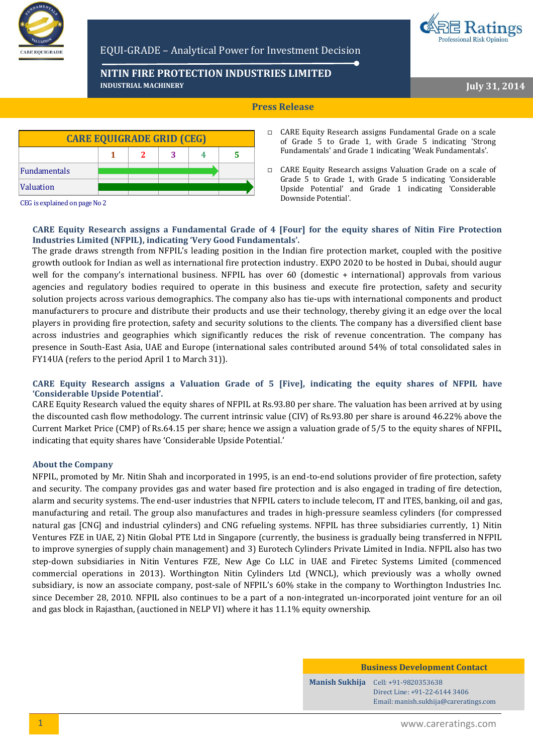

## EQUI-GRADE – Analytical Power for Investment Decision

**NITIN FIRE PROTECTION INDUSTRIES LIMITED INDUSTRIAL MACHINERY**

**July 31, 2014**

**Professional Risk Opinion** 

## **Press Release**



CARE Equity Research assigns Fundamental Grade on a scale of Grade 5 to Grade 1, with Grade 5 indicating 'Strong Fundamentals' and Grade 1 indicating 'Weak Fundamentals'.

CEG is explained on page No 2

## **CARE Equity Research assigns a Fundamental Grade of 4 [Four] for the equity shares of Nitin Fire Protection Industries Limited (NFPIL), indicating 'Very Good Fundamentals'.**

The grade draws strength from NFPIL's leading position in the Indian fire protection market, coupled with the positive growth outlook for Indian as well as international fire protection industry. EXPO 2020 to be hosted in Dubai, should augur well for the company's international business. NFPIL has over 60 (domestic + international) approvals from various agencies and regulatory bodies required to operate in this business and execute fire protection, safety and security solution projects across various demographics. The company also has tie-ups with international components and product manufacturers to procure and distribute their products and use their technology, thereby giving it an edge over the local players in providing fire protection, safety and security solutions to the clients. The company has a diversified client base across industries and geographies which significantly reduces the risk of revenue concentration. The company has presence in South-East Asia, UAE and Europe (international sales contributed around 54% of total consolidated sales in FY14UA (refers to the period April 1 to March 31)).

## **CARE Equity Research assigns a Valuation Grade of 5 [Five], indicating the equity shares of NFPIL have 'Considerable Upside Potential'.**

CARE Equity Research valued the equity shares of NFPIL at Rs.93.80 per share. The valuation has been arrived at by using the discounted cash flow methodology. The current intrinsic value (CIV) of Rs.93.80 per share is around 46.22% above the Current Market Price (CMP) of Rs.64.15 per share; hence we assign a valuation grade of 5/5 to the equity shares of NFPIL, indicating that equity shares have 'Considerable Upside Potential.'

## **About the Company**

NFPIL, promoted by Mr. Nitin Shah and incorporated in 1995, is an end-to-end solutions provider of fire protection, safety and security. The company provides gas and water based fire protection and is also engaged in trading of fire detection, alarm and security systems. The end-user industries that NFPIL caters to include telecom, IT and ITES, banking, oil and gas, manufacturing and retail. The group also manufactures and trades in high-pressure seamless cylinders (for compressed natural gas [CNG] and industrial cylinders) and CNG refueling systems. NFPIL has three subsidiaries currently, 1) Nitin Ventures FZE in UAE, 2) Nitin Global PTE Ltd in Singapore (currently, the business is gradually being transferred in NFPIL to improve synergies of supply chain management) and 3) Eurotech Cylinders Private Limited in India. NFPIL also has two step-down subsidiaries in Nitin Ventures FZE, New Age Co LLC in UAE and Firetec Systems Limited (commenced commercial operations in 2013). Worthington Nitin Cylinders Ltd (WNCL), which previously was a wholly owned subsidiary, is now an associate company, post-sale of NFPIL's 60% stake in the company to Worthington Industries Inc. since December 28, 2010. NFPIL also continues to be a part of a non-integrated un-incorporated joint venture for an oil and gas block in Rajasthan, (auctioned in NELP VI) where it has 11.1% equity ownership.

**Business Development Contact**

**Manish Sukhija** Cell: +91-9820353638 Direct Line: +91-22-6144 3406 Email: manish.sukhija@careratings.com

1 www.careratings.com

CARE Equity Research assigns Valuation Grade on a scale of Grade 5 to Grade 1, with Grade 5 indicating 'Considerable Upside Potential' and Grade 1 indicating 'Considerable Downside Potential'.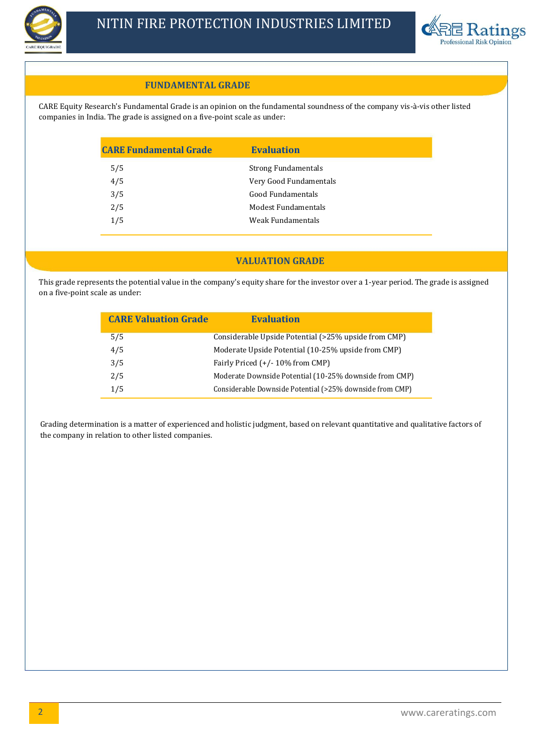



## **FUNDAMENTAL GRADE**

CARE Equity Research's Fundamental Grade is an opinion on the fundamental soundness of the company vis-à-vis other listed companies in India. The grade is assigned on a five-point scale as under:

| <b>CARE Fundamental Grade</b> | <b>Evaluation</b>          |
|-------------------------------|----------------------------|
| 5/5                           | <b>Strong Fundamentals</b> |
| 4/5                           | Very Good Fundamentals     |
| 3/5                           | Good Fundamentals          |
| 2/5                           | Modest Fundamentals        |
| 1/5                           | Weak Fundamentals          |
|                               |                            |

# **VALUATION GRADE**

This grade represents the potential value in the company's equity share for the investor over a 1-year period. The grade is assigned on a five-point scale as under:

| <b>CARE Valuation Grade</b> | <b>Evaluation</b>                                        |
|-----------------------------|----------------------------------------------------------|
| 5/5                         | Considerable Upside Potential (>25% upside from CMP)     |
| 4/5                         | Moderate Upside Potential (10-25% upside from CMP)       |
| 3/5                         | Fairly Priced $(+/- 10\%$ from CMP)                      |
| 2/5                         | Moderate Downside Potential (10-25% downside from CMP)   |
| 1/5                         | Considerable Downside Potential (>25% downside from CMP) |

Grading determination is a matter of experienced and holistic judgment, based on relevant quantitative and qualitative factors of the company in relation to other listed companies.